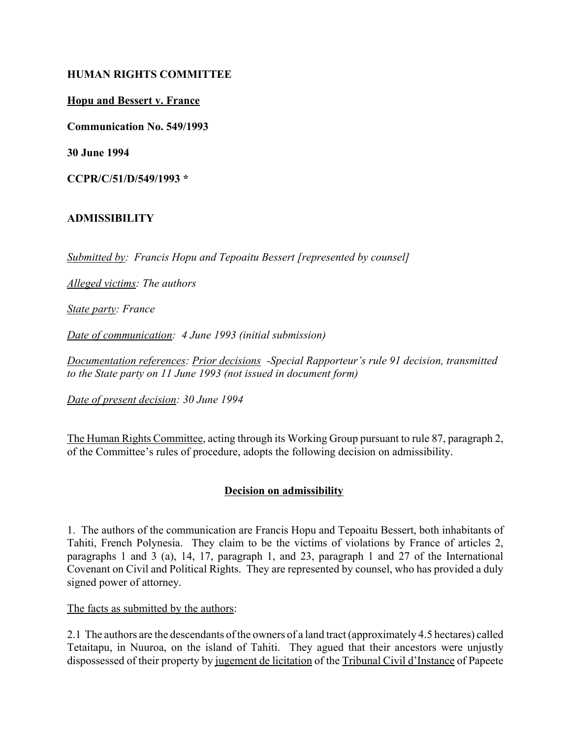#### **HUMAN RIGHTS COMMITTEE**

#### **Hopu and Bessert v. France**

**Communication No. 549/1993**

**30 June 1994**

**CCPR/C/51/D/549/1993 \***

## **ADMISSIBILITY**

*Submitted by: Francis Hopu and Tepoaitu Bessert [represented by counsel]*

*Alleged victims: The authors*

*State party: France*

*Date of communication: 4 June 1993 (initial submission)* 

*Documentation references: Prior decisions -Special Rapporteur's rule 91 decision, transmitted to the State party on 11 June 1993 (not issued in document form)*

*Date of present decision: 30 June 1994*

The Human Rights Committee, acting through its Working Group pursuant to rule 87, paragraph 2, of the Committee's rules of procedure, adopts the following decision on admissibility.

## **Decision on admissibility**

1. The authors of the communication are Francis Hopu and Tepoaitu Bessert, both inhabitants of Tahiti, French Polynesia. They claim to be the victims of violations by France of articles 2, paragraphs 1 and 3 (a), 14, 17, paragraph 1, and 23, paragraph 1 and 27 of the International Covenant on Civil and Political Rights. They are represented by counsel, who has provided a duly signed power of attorney.

The facts as submitted by the authors:

2.1 The authors are the descendants of the owners of a land tract (approximately 4.5 hectares) called Tetaitapu, in Nuuroa, on the island of Tahiti. They agued that their ancestors were unjustly dispossessed of their property by jugement de licitation of the Tribunal Civil d'Instance of Papeete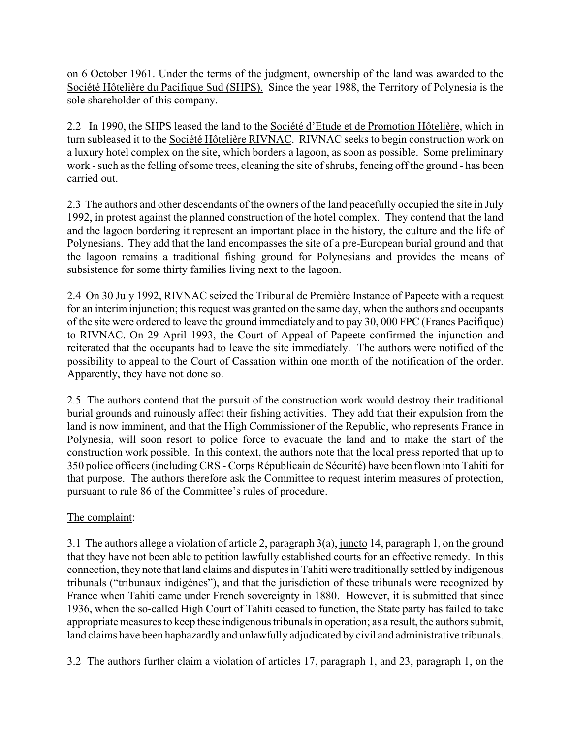on 6 October 1961. Under the terms of the judgment, ownership of the land was awarded to the Société Hôtelière du Pacifique Sud (SHPS). Since the year 1988, the Territory of Polynesia is the sole shareholder of this company.

2.2 In 1990, the SHPS leased the land to the Societe d'Etude et de Promotion Hôtelière, which in turn subleased it to the Société Hôtelière RIVNAC. RIVNAC seeks to begin construction work on a luxury hotel complex on the site, which borders a lagoon, as soon as possible. Some preliminary work - such as the felling of some trees, cleaning the site of shrubs, fencing off the ground - has been carried out.

2.3 The authors and other descendants of the owners of the land peacefully occupied the site in July 1992, in protest against the planned construction of the hotel complex. They contend that the land and the lagoon bordering it represent an important place in the history, the culture and the life of Polynesians. They add that the land encompasses the site of a pre-European burial ground and that the lagoon remains a traditional fishing ground for Polynesians and provides the means of subsistence for some thirty families living next to the lagoon.

2.4 On 30 July 1992, RIVNAC seized the Tribunal de Première Instance of Papeete with a request for an interim injunction; this request was granted on the same day, when the authors and occupants of the site were ordered to leave the ground immediately and to pay 30, 000 FPC (Francs Pacifique) to RIVNAC. On 29 April 1993, the Court of Appeal of Papeete confirmed the injunction and reiterated that the occupants had to leave the site immediately. The authors were notified of the possibility to appeal to the Court of Cassation within one month of the notification of the order. Apparently, they have not done so.

2.5 The authors contend that the pursuit of the construction work would destroy their traditional burial grounds and ruinously affect their fishing activities. They add that their expulsion from the land is now imminent, and that the High Commissioner of the Republic, who represents France in Polynesia, will soon resort to police force to evacuate the land and to make the start of the construction work possible. In this context, the authors note that the local press reported that up to 350 police officers (including CRS - Corps Républicain de Sécurité) have been flown into Tahiti for that purpose. The authors therefore ask the Committee to request interim measures of protection, pursuant to rule 86 of the Committee's rules of procedure.

# The complaint:

3.1 The authors allege a violation of article 2, paragraph 3(a), juncto 14, paragraph 1, on the ground that they have not been able to petition lawfully established courts for an effective remedy. In this connection, they note that land claims and disputes in Tahiti were traditionally settled by indigenous tribunals ("tribunaux indigènes"), and that the jurisdiction of these tribunals were recognized by France when Tahiti came under French sovereignty in 1880. However, it is submitted that since 1936, when the so-called High Court of Tahiti ceased to function, the State party has failed to take appropriate measures to keep these indigenous tribunals in operation; as a result, the authors submit, land claims have been haphazardly and unlawfully adjudicated by civil and administrative tribunals.

3.2 The authors further claim a violation of articles 17, paragraph 1, and 23, paragraph 1, on the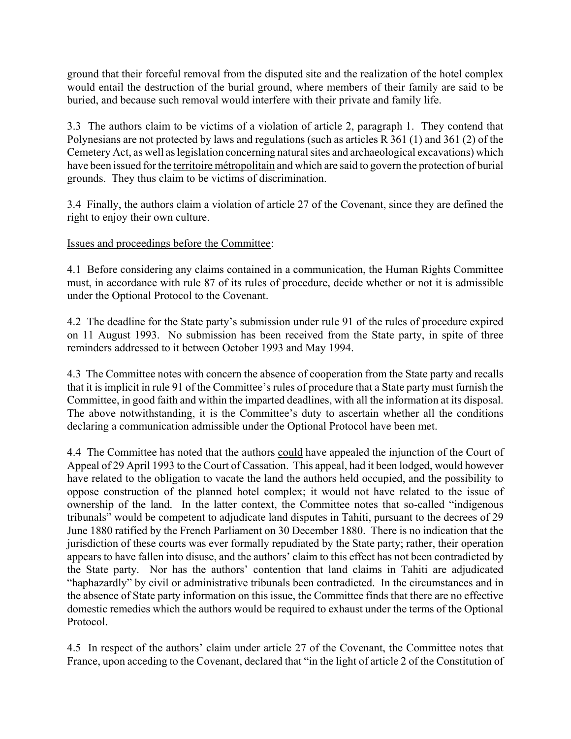ground that their forceful removal from the disputed site and the realization of the hotel complex would entail the destruction of the burial ground, where members of their family are said to be buried, and because such removal would interfere with their private and family life.

3.3 The authors claim to be victims of a violation of article 2, paragraph 1. They contend that Polynesians are not protected by laws and regulations (such as articles R 361 (1) and 361 (2) of the Cemetery Act, as well as legislation concerning natural sites and archaeological excavations) which have been issued for the territoire métropolitain and which are said to govern the protection of burial grounds. They thus claim to be victims of discrimination.

3.4 Finally, the authors claim a violation of article 27 of the Covenant, since they are defined the right to enjoy their own culture.

Issues and proceedings before the Committee:

4.1 Before considering any claims contained in a communication, the Human Rights Committee must, in accordance with rule 87 of its rules of procedure, decide whether or not it is admissible under the Optional Protocol to the Covenant.

4.2 The deadline for the State party's submission under rule 91 of the rules of procedure expired on 11 August 1993. No submission has been received from the State party, in spite of three reminders addressed to it between October 1993 and May 1994.

4.3 The Committee notes with concern the absence of cooperation from the State party and recalls that it is implicit in rule 91 of the Committee's rules of procedure that a State party must furnish the Committee, in good faith and within the imparted deadlines, with all the information at its disposal. The above notwithstanding, it is the Committee's duty to ascertain whether all the conditions declaring a communication admissible under the Optional Protocol have been met.

4.4 The Committee has noted that the authors could have appealed the injunction of the Court of Appeal of 29 April 1993 to the Court of Cassation. This appeal, had it been lodged, would however have related to the obligation to vacate the land the authors held occupied, and the possibility to oppose construction of the planned hotel complex; it would not have related to the issue of ownership of the land. In the latter context, the Committee notes that so-called "indigenous" tribunalsî would be competent to adjudicate land disputes in Tahiti, pursuant to the decrees of 29 June 1880 ratified by the French Parliament on 30 December 1880. There is no indication that the jurisdiction of these courts was ever formally repudiated by the State party; rather, their operation appears to have fallen into disuse, and the authors' claim to this effect has not been contradicted by the State party. Nor has the authors' contention that land claims in Tahiti are adjudicated "haphazardly" by civil or administrative tribunals been contradicted. In the circumstances and in the absence of State party information on this issue, the Committee finds that there are no effective domestic remedies which the authors would be required to exhaust under the terms of the Optional Protocol.

4.5 In respect of the authors' claim under article 27 of the Covenant, the Committee notes that France, upon acceding to the Covenant, declared that "in the light of article 2 of the Constitution of